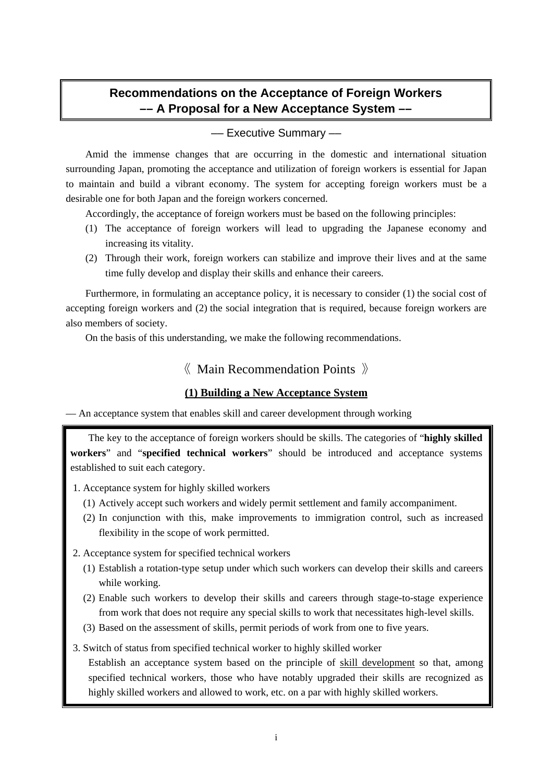# **Recommendations on the Acceptance of Foreign Workers –– A Proposal for a New Acceptance System ––**

### –– Executive Summary ––

Amid the immense changes that are occurring in the domestic and international situation surrounding Japan, promoting the acceptance and utilization of foreign workers is essential for Japan to maintain and build a vibrant economy. The system for accepting foreign workers must be a desirable one for both Japan and the foreign workers concerned.

Accordingly, the acceptance of foreign workers must be based on the following principles:

- (1) The acceptance of foreign workers will lead to upgrading the Japanese economy and increasing its vitality.
- (2) Through their work, foreign workers can stabilize and improve their lives and at the same time fully develop and display their skills and enhance their careers.

Furthermore, in formulating an acceptance policy, it is necessary to consider (1) the social cost of accepting foreign workers and (2) the social integration that is required, because foreign workers are also members of society.

On the basis of this understanding, we make the following recommendations.

# 《 Main Recommendation Points 》

### **(1) Building a New Acceptance System**

–– An acceptance system that enables skill and career development through working

The key to the acceptance of foreign workers should be skills. The categories of "**highly skilled workers**" and "**specified technical workers**" should be introduced and acceptance systems established to suit each category.

- 1. Acceptance system for highly skilled workers
	- (1) Actively accept such workers and widely permit settlement and family accompaniment.
	- (2) In conjunction with this, make improvements to immigration control, such as increased flexibility in the scope of work permitted.
- 2. Acceptance system for specified technical workers
	- (1) Establish a rotation-type setup under which such workers can develop their skills and careers while working.
	- (2) Enable such workers to develop their skills and careers through stage-to-stage experience from work that does not require any special skills to work that necessitates high-level skills.
	- (3) Based on the assessment of skills, permit periods of work from one to five years.
- 3. Switch of status from specified technical worker to highly skilled worker

 Establish an acceptance system based on the principle of skill development so that, among specified technical workers, those who have notably upgraded their skills are recognized as highly skilled workers and allowed to work, etc. on a par with highly skilled workers.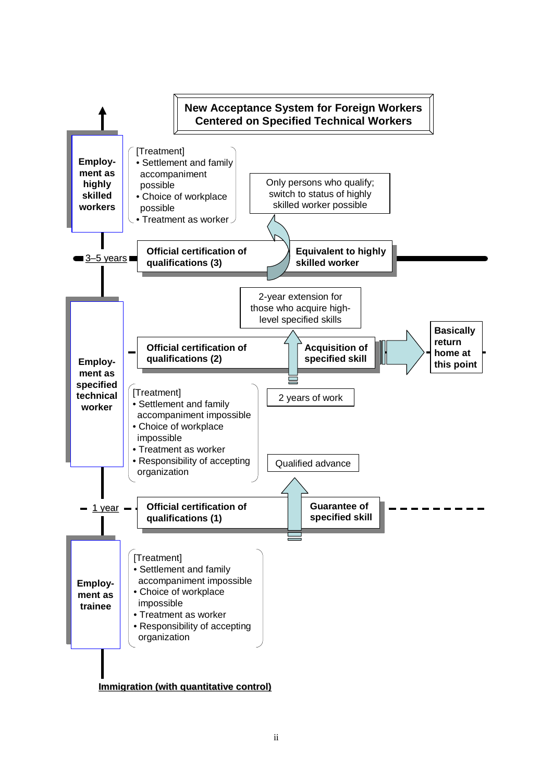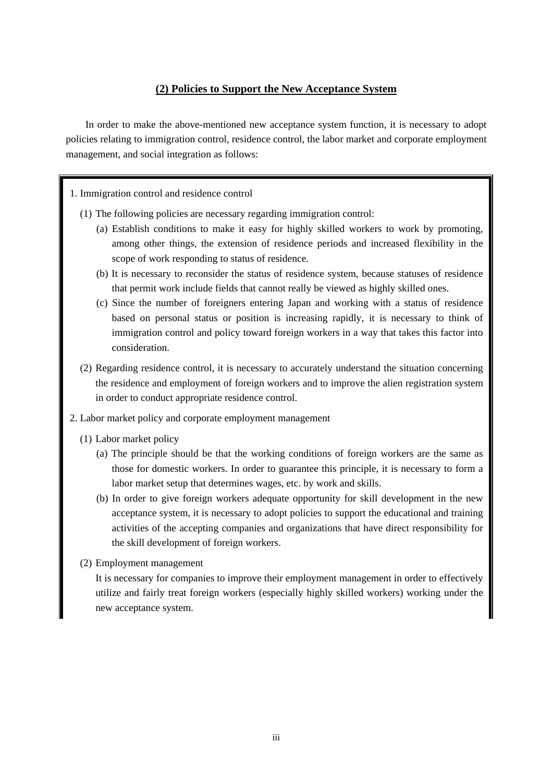### **(2) Policies to Support the New Acceptance System**

In order to make the above-mentioned new acceptance system function, it is necessary to adopt policies relating to immigration control, residence control, the labor market and corporate employment management, and social integration as follows:

#### 1. Immigration control and residence control

- (1) The following policies are necessary regarding immigration control:
	- (a) Establish conditions to make it easy for highly skilled workers to work by promoting, among other things, the extension of residence periods and increased flexibility in the scope of work responding to status of residence.
	- (b) It is necessary to reconsider the status of residence system, because statuses of residence that permit work include fields that cannot really be viewed as highly skilled ones.
	- (c) Since the number of foreigners entering Japan and working with a status of residence based on personal status or position is increasing rapidly, it is necessary to think of immigration control and policy toward foreign workers in a way that takes this factor into consideration.
- (2) Regarding residence control, it is necessary to accurately understand the situation concerning the residence and employment of foreign workers and to improve the alien registration system in order to conduct appropriate residence control.
- 2. Labor market policy and corporate employment management
	- (1) Labor market policy
		- (a) The principle should be that the working conditions of foreign workers are the same as those for domestic workers. In order to guarantee this principle, it is necessary to form a labor market setup that determines wages, etc. by work and skills.
		- (b) In order to give foreign workers adequate opportunity for skill development in the new acceptance system, it is necessary to adopt policies to support the educational and training activities of the accepting companies and organizations that have direct responsibility for the skill development of foreign workers.
	- (2) Employment management

 It is necessary for companies to improve their employment management in order to effectively utilize and fairly treat foreign workers (especially highly skilled workers) working under the new acceptance system.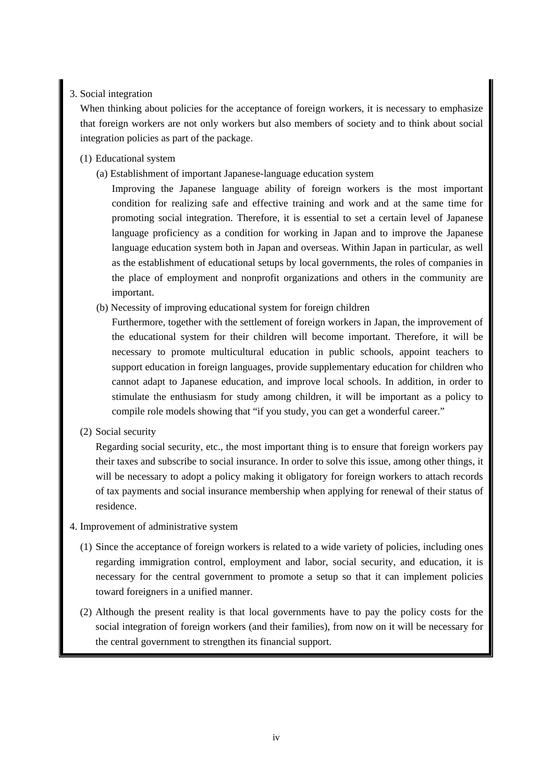### 3. Social integration

When thinking about policies for the acceptance of foreign workers, it is necessary to emphasize that foreign workers are not only workers but also members of society and to think about social integration policies as part of the package.

- (1) Educational system
	- (a) Establishment of important Japanese-language education system

 Improving the Japanese language ability of foreign workers is the most important condition for realizing safe and effective training and work and at the same time for promoting social integration. Therefore, it is essential to set a certain level of Japanese language proficiency as a condition for working in Japan and to improve the Japanese language education system both in Japan and overseas. Within Japan in particular, as well as the establishment of educational setups by local governments, the roles of companies in the place of employment and nonprofit organizations and others in the community are important.

(b) Necessity of improving educational system for foreign children

 Furthermore, together with the settlement of foreign workers in Japan, the improvement of the educational system for their children will become important. Therefore, it will be necessary to promote multicultural education in public schools, appoint teachers to support education in foreign languages, provide supplementary education for children who cannot adapt to Japanese education, and improve local schools. In addition, in order to stimulate the enthusiasm for study among children, it will be important as a policy to compile role models showing that "if you study, you can get a wonderful career."

(2) Social security

 Regarding social security, etc., the most important thing is to ensure that foreign workers pay their taxes and subscribe to social insurance. In order to solve this issue, among other things, it will be necessary to adopt a policy making it obligatory for foreign workers to attach records of tax payments and social insurance membership when applying for renewal of their status of residence.

- 4. Improvement of administrative system
	- (1) Since the acceptance of foreign workers is related to a wide variety of policies, including ones regarding immigration control, employment and labor, social security, and education, it is necessary for the central government to promote a setup so that it can implement policies toward foreigners in a unified manner.
	- (2) Although the present reality is that local governments have to pay the policy costs for the social integration of foreign workers (and their families), from now on it will be necessary for the central government to strengthen its financial support.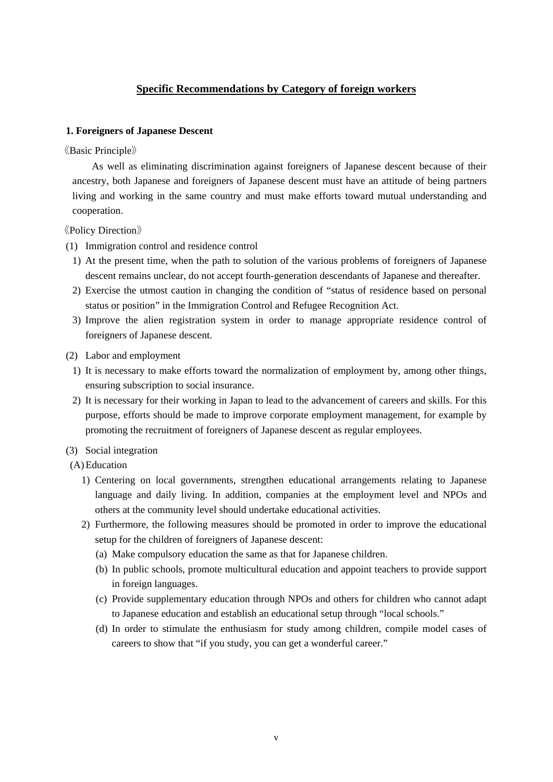# **Specific Recommendations by Category of foreign workers**

#### **1. Foreigners of Japanese Descent**

《Basic Principle》

As well as eliminating discrimination against foreigners of Japanese descent because of their ancestry, both Japanese and foreigners of Japanese descent must have an attitude of being partners living and working in the same country and must make efforts toward mutual understanding and cooperation.

《Policy Direction》

- (1) Immigration control and residence control
	- 1) At the present time, when the path to solution of the various problems of foreigners of Japanese descent remains unclear, do not accept fourth-generation descendants of Japanese and thereafter.
	- 2) Exercise the utmost caution in changing the condition of "status of residence based on personal status or position" in the Immigration Control and Refugee Recognition Act.
	- 3) Improve the alien registration system in order to manage appropriate residence control of foreigners of Japanese descent.
- (2) Labor and employment
- 1) It is necessary to make efforts toward the normalization of employment by, among other things, ensuring subscription to social insurance.
- 2) It is necessary for their working in Japan to lead to the advancement of careers and skills. For this purpose, efforts should be made to improve corporate employment management, for example by promoting the recruitment of foreigners of Japanese descent as regular employees.
- (3) Social integration
- (A) Education
	- 1) Centering on local governments, strengthen educational arrangements relating to Japanese language and daily living. In addition, companies at the employment level and NPOs and others at the community level should undertake educational activities.
	- 2) Furthermore, the following measures should be promoted in order to improve the educational setup for the children of foreigners of Japanese descent:
		- (a) Make compulsory education the same as that for Japanese children.
		- (b) In public schools, promote multicultural education and appoint teachers to provide support in foreign languages.
		- (c) Provide supplementary education through NPOs and others for children who cannot adapt to Japanese education and establish an educational setup through "local schools."
		- (d) In order to stimulate the enthusiasm for study among children, compile model cases of careers to show that "if you study, you can get a wonderful career."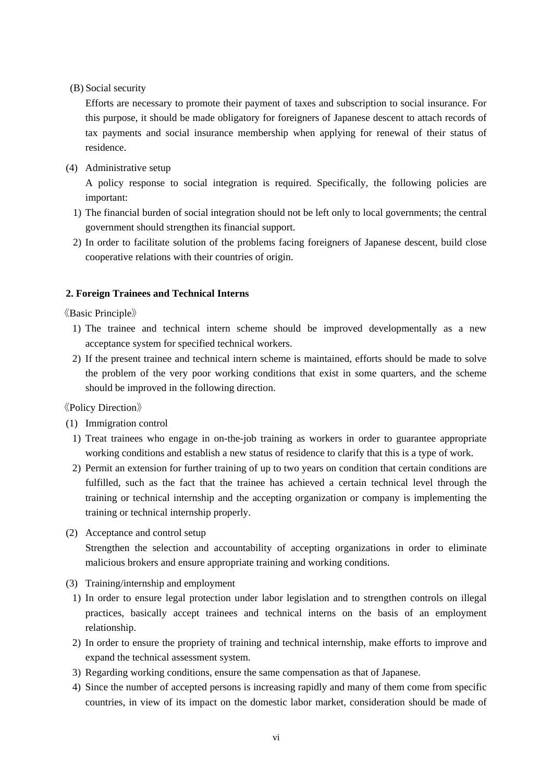(B) Social security

 Efforts are necessary to promote their payment of taxes and subscription to social insurance. For this purpose, it should be made obligatory for foreigners of Japanese descent to attach records of tax payments and social insurance membership when applying for renewal of their status of residence.

(4) Administrative setup

A policy response to social integration is required. Specifically, the following policies are important:

- 1) The financial burden of social integration should not be left only to local governments; the central government should strengthen its financial support.
- 2) In order to facilitate solution of the problems facing foreigners of Japanese descent, build close cooperative relations with their countries of origin.

#### **2. Foreign Trainees and Technical Interns**

《Basic Principle》

- 1) The trainee and technical intern scheme should be improved developmentally as a new acceptance system for specified technical workers.
- 2) If the present trainee and technical intern scheme is maintained, efforts should be made to solve the problem of the very poor working conditions that exist in some quarters, and the scheme should be improved in the following direction.

《Policy Direction》

- (1) Immigration control
	- 1) Treat trainees who engage in on-the-job training as workers in order to guarantee appropriate working conditions and establish a new status of residence to clarify that this is a type of work.
	- 2) Permit an extension for further training of up to two years on condition that certain conditions are fulfilled, such as the fact that the trainee has achieved a certain technical level through the training or technical internship and the accepting organization or company is implementing the training or technical internship properly.
- (2) Acceptance and control setup

Strengthen the selection and accountability of accepting organizations in order to eliminate malicious brokers and ensure appropriate training and working conditions.

- (3) Training/internship and employment
	- 1) In order to ensure legal protection under labor legislation and to strengthen controls on illegal practices, basically accept trainees and technical interns on the basis of an employment relationship.
	- 2) In order to ensure the propriety of training and technical internship, make efforts to improve and expand the technical assessment system.
	- 3) Regarding working conditions, ensure the same compensation as that of Japanese.
	- 4) Since the number of accepted persons is increasing rapidly and many of them come from specific countries, in view of its impact on the domestic labor market, consideration should be made of